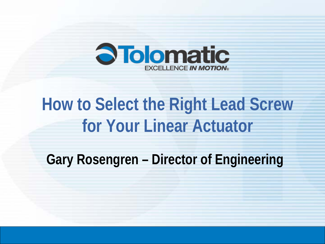

## **How to Select the Right Lead Screw for Your Linear Actuator**

**Gary Rosengren – Director of Engineering**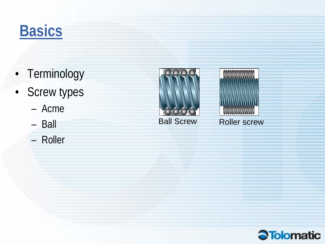## **Basics**

- Terminology
- Screw types
	- Acme
	- Ball
	- Roller





Ball Screw Roller screw

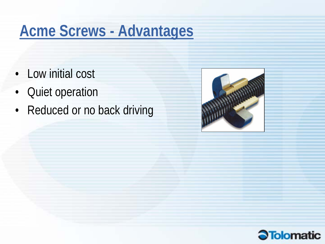## **Acme Screws - Advantages**

- Low initial cost
- Quiet operation
- Reduced or no back driving



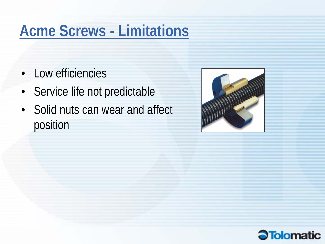## **Acme Screws - Limitations**

- Low efficiencies
- Service life not predictable
- Solid nuts can wear and affect position



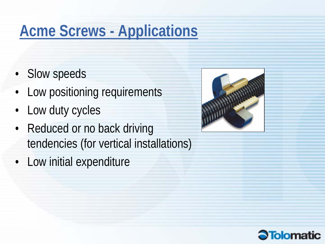## **Acme Screws - Applications**

- Slow speeds
- Low positioning requirements
- Low duty cycles
- Reduced or no back driving tendencies (for vertical installations)
- Low initial expenditure



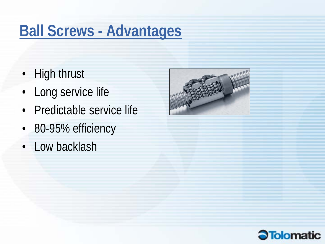### **Ball Screws - Advantages**

- High thrust
- Long service life
- Predictable service life
- 80-95% efficiency
- Low backlash



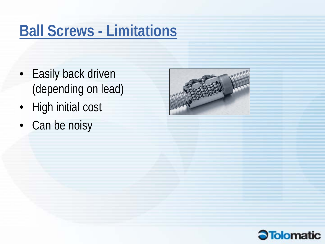### **Ball Screws - Limitations**

- Easily back driven (depending on lead)
- High initial cost
- Can be noisy



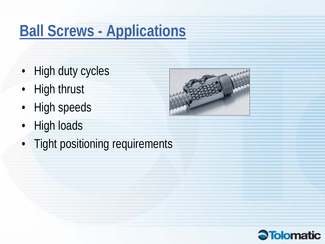## **Ball Screws - Applications**

- High duty cycles
- High thrust
- High speeds
- High loads
- Tight positioning requirements



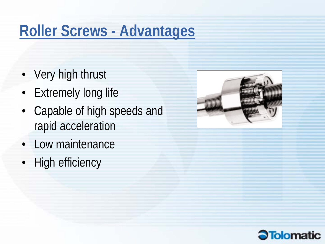### **Roller Screws - Advantages**

- Very high thrust
- Extremely long life
- Capable of high speeds and rapid acceleration
- Low maintenance
- High efficiency



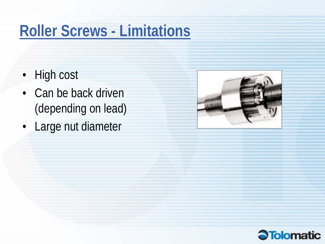## **Roller Screws - Limitations**

- High cost
- Can be back driven (depending on lead)
- Large nut diameter



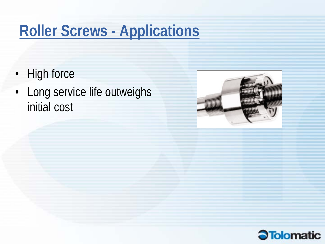## **Roller Screws - Applications**

- High force
- Long service life outweighs initial cost



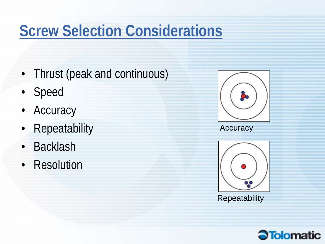## **Screw Selection Considerations**

- Thrust (peak and continuous)
- Speed
- Accuracy
- Repeatability
- Backlash
- Resolution





**Repeatability**